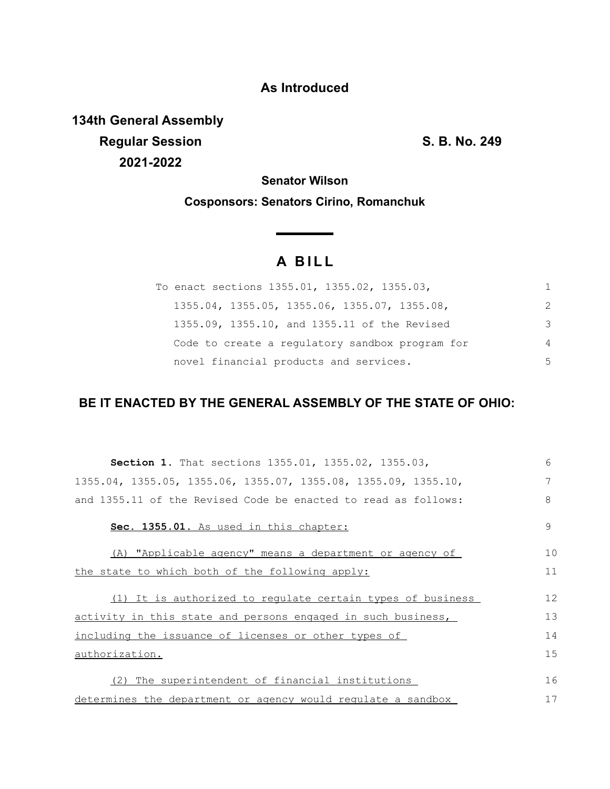## **As Introduced**

**134th General Assembly Regular Session S. B. No. 249 2021-2022**

**Senator Wilson**

**Cosponsors: Senators Cirino, Romanchuk**

## **A B I L L**

**Service Contractor** 

| To enact sections 1355.01, 1355.02, 1355.03,    | 1             |
|-------------------------------------------------|---------------|
| 1355.04, 1355.05, 1355.06, 1355.07, 1355.08,    | $\mathcal{P}$ |
| 1355.09, 1355.10, and 1355.11 of the Revised    | 3             |
| Code to create a regulatory sandbox program for | 4             |
| novel financial products and services.          | .5            |

## **BE IT ENACTED BY THE GENERAL ASSEMBLY OF THE STATE OF OHIO:**

| <b>Section 1.</b> That sections 1355.01, 1355.02, 1355.03,     | 6             |
|----------------------------------------------------------------|---------------|
| 1355.04, 1355.05, 1355.06, 1355.07, 1355.08, 1355.09, 1355.10, | 7             |
| and 1355.11 of the Revised Code be enacted to read as follows: | 8             |
| Sec. 1355.01. As used in this chapter:                         | $\mathcal{Q}$ |
| (A) "Applicable agency" means a department or agency of        | 10            |
| the state to which both of the following apply:                | 11            |
| (1) It is authorized to regulate certain types of business     | 12            |
| activity in this state and persons engaged in such business,   | 13            |
| including the issuance of licenses or other types of           | 14            |
| authorization.                                                 | 15            |
| (2) The superintendent of financial institutions               | 16            |
|                                                                |               |
| determines the department or agency would requiate a sandbox   | 17            |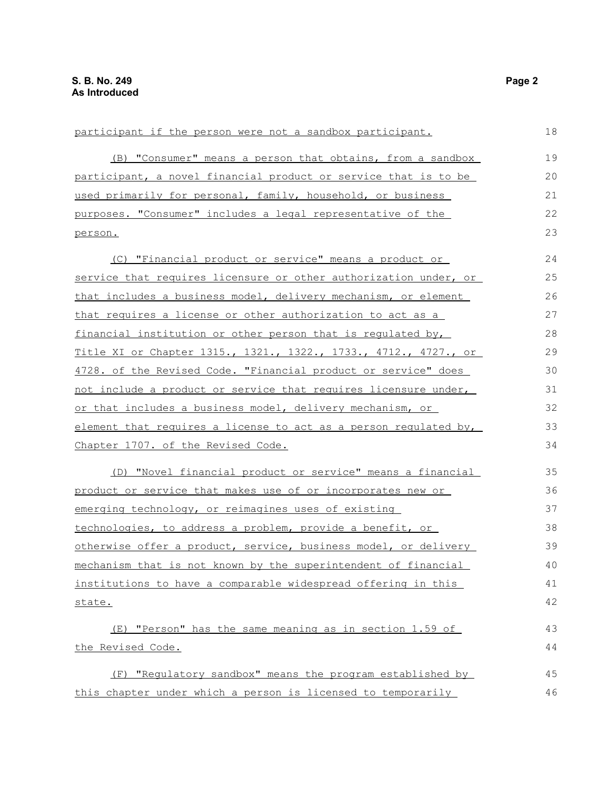| participant if the person were not a sandbox participant.        | 18 |
|------------------------------------------------------------------|----|
| (B) "Consumer" means a person that obtains, from a sandbox       | 19 |
| participant, a novel financial product or service that is to be  | 20 |
| used primarily for personal, family, household, or business      | 21 |
| purposes. "Consumer" includes a legal representative of the      | 22 |
| person.                                                          | 23 |
| (C) "Financial product or service" means a product or            | 24 |
| service that requires licensure or other authorization under, or | 25 |
| that includes a business model, delivery mechanism, or element   | 26 |
| that requires a license or other authorization to act as a       | 27 |
| financial institution or other person that is regulated by,      | 28 |
| Title XI or Chapter 1315., 1321., 1322., 1733., 4712., 4727., or | 29 |
| 4728. of the Revised Code. "Financial product or service" does   | 30 |
| not include a product or service that requires licensure under,  | 31 |
| or that includes a business model, delivery mechanism, or        | 32 |
| element that requires a license to act as a person requlated by, | 33 |
| Chapter 1707. of the Revised Code.                               | 34 |
| (D) "Novel financial product or service" means a financial       | 35 |
| product or service that makes use of or incorporates new or      | 36 |
| emerging technology, or reimagines uses of existing              | 37 |
| technologies, to address a problem, provide a benefit, or        | 38 |
| otherwise offer a product, service, business model, or delivery  | 39 |
| mechanism that is not known by the superintendent of financial   | 40 |
| institutions to have a comparable widespread offering in this    | 41 |
| state.                                                           | 42 |
| (E) "Person" has the same meaning as in section 1.59 of          | 43 |
| the Revised Code.                                                | 44 |
| (F) "Regulatory sandbox" means the program established by        | 45 |
| this chapter under which a person is licensed to temporarily     | 46 |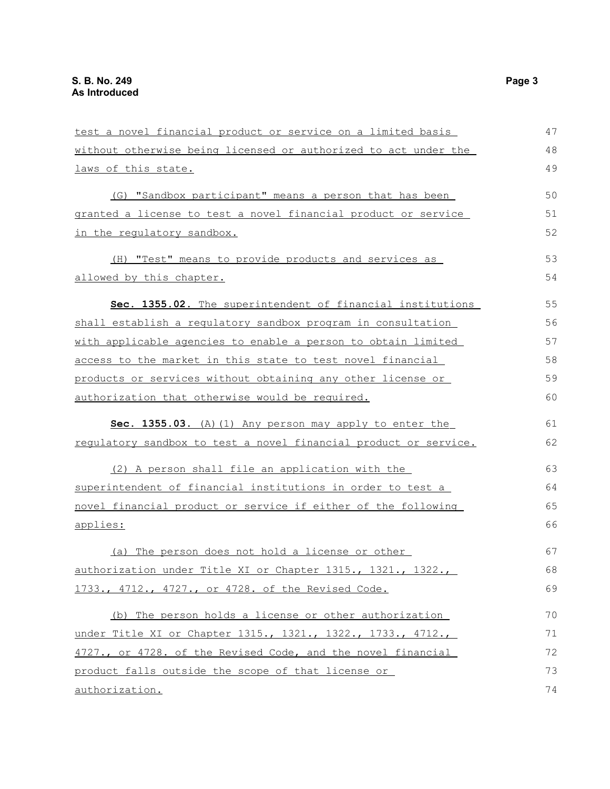| test a novel financial product or service on a limited basis     | 47 |
|------------------------------------------------------------------|----|
| without otherwise being licensed or authorized to act under the  | 48 |
| laws of this state.                                              | 49 |
| (G) "Sandbox participant" means a person that has been           | 50 |
| granted a license to test a novel financial product or service   | 51 |
| <u>in the requlatory sandbox.</u>                                | 52 |
| (H) "Test" means to provide products and services as             | 53 |
| allowed by this chapter.                                         | 54 |
| Sec. 1355.02. The superintendent of financial institutions       | 55 |
| shall establish a regulatory sandbox program in consultation     | 56 |
| with applicable agencies to enable a person to obtain limited    | 57 |
| access to the market in this state to test novel financial       | 58 |
| products or services without obtaining any other license or      | 59 |
| authorization that otherwise would be required.                  | 60 |
| Sec. 1355.03. (A) (1) Any person may apply to enter the          | 61 |
| regulatory sandbox to test a novel financial product or service. | 62 |
| (2) A person shall file an application with the                  | 63 |
| superintendent of financial institutions in order to test a      | 64 |
| novel financial product or service if either of the following    | 65 |
| applies:                                                         | 66 |
| (a) The person does not hold a license or other                  | 67 |
| authorization under Title XI or Chapter 1315., 1321., 1322.      | 68 |
| 1733., 4712., 4727., or 4728. of the Revised Code.               | 69 |
| (b) The person holds a license or other authorization            | 70 |
| under Title XI or Chapter 1315., 1321., 1322., 1733., 4712.,     | 71 |
| 4727., or 4728. of the Revised Code, and the novel financial     | 72 |
| product falls outside the scope of that license or               | 73 |
| authorization.                                                   | 74 |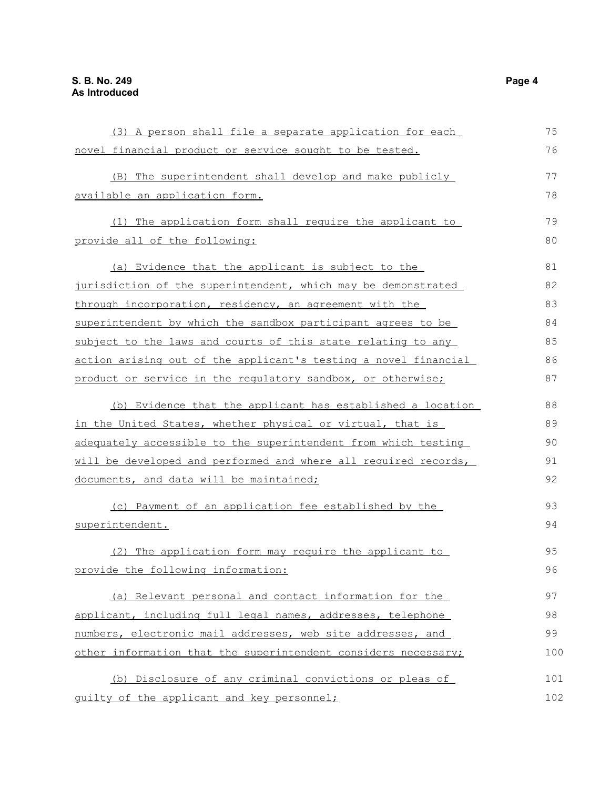| (3) A person shall file a separate application for each         | 75  |
|-----------------------------------------------------------------|-----|
| novel financial product or service sought to be tested.         | 76  |
| (B) The superintendent shall develop and make publicly          | 77  |
| available an application form.                                  | 78  |
| (1) The application form shall require the applicant to         | 79  |
| provide all of the following:                                   | 80  |
| (a) Evidence that the applicant is subject to the               | 81  |
| jurisdiction of the superintendent, which may be demonstrated   | 82  |
| through incorporation, residency, an agreement with the         | 83  |
| superintendent by which the sandbox participant agrees to be    | 84  |
| subject to the laws and courts of this state relating to any    | 85  |
| action arising out of the applicant's testing a novel financial | 86  |
| product or service in the regulatory sandbox, or otherwise;     | 87  |
| (b) Evidence that the applicant has established a location      | 88  |
| in the United States, whether physical or virtual, that is      | 89  |
| adequately accessible to the superintendent from which testing  | 90  |
| will be developed and performed and where all required records, | 91  |
| documents, and data will be maintained;                         | 92  |
| (c) Payment of an application fee established by the            | 93  |
| superintendent.                                                 | 94  |
| (2) The application form may require the applicant to           | 95  |
| provide the following information:                              | 96  |
| (a) Relevant personal and contact information for the           | 97  |
| applicant, including full legal names, addresses, telephone     | 98  |
| numbers, electronic mail addresses, web site addresses, and     | 99  |
| other information that the superintendent considers necessary;  | 100 |
| (b) Disclosure of any criminal convictions or pleas of          | 101 |
| quilty of the applicant and key personnel;                      | 102 |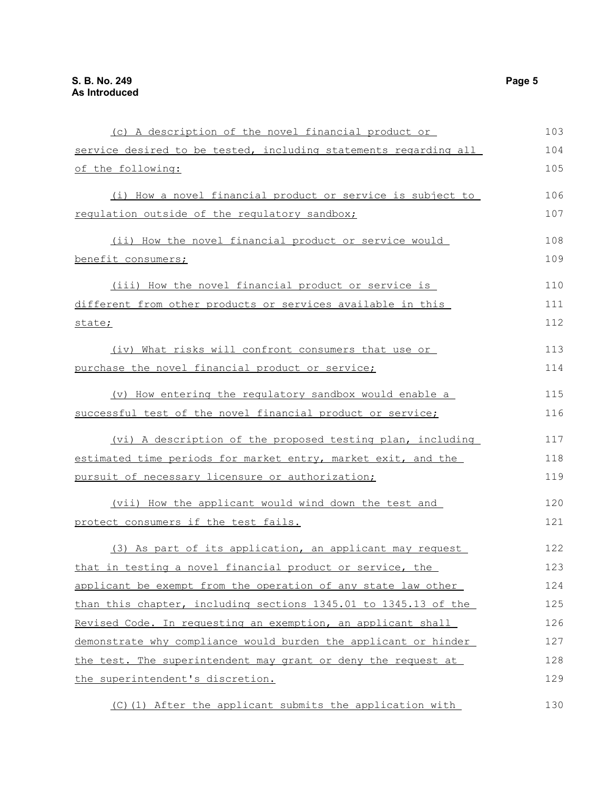| (c) A description of the novel financial product or              | 103 |
|------------------------------------------------------------------|-----|
| service desired to be tested, including statements regarding all | 104 |
| of the following:                                                | 105 |
| (i) How a novel financial product or service is subject to       | 106 |
| regulation outside of the regulatory sandbox;                    | 107 |
| (ii) How the novel financial product or service would            | 108 |
| benefit consumers;                                               | 109 |
| (iii) How the novel financial product or service is              | 110 |
| different from other products or services available in this      | 111 |
| state;                                                           | 112 |
| (iv) What risks will confront consumers that use or              | 113 |
| purchase the novel financial product or service;                 | 114 |
| (v) How entering the regulatory sandbox would enable a           | 115 |
| successful test of the novel financial product or service;       | 116 |
| (vi) A description of the proposed testing plan, including       | 117 |
| estimated time periods for market entry, market exit, and the    | 118 |
| pursuit of necessary licensure or authorization;                 | 119 |
| (vii) How the applicant would wind down the test and             | 120 |
| protect consumers if the test fails.                             | 121 |
| (3) As part of its application, an applicant may request         | 122 |
| that in testing a novel financial product or service, the        | 123 |
| applicant be exempt from the operation of any state law other    | 124 |
| than this chapter, including sections 1345.01 to 1345.13 of the  | 125 |
| Revised Code. In requesting an exemption, an applicant shall     | 126 |
| demonstrate why compliance would burden the applicant or hinder  | 127 |
| the test. The superintendent may grant or deny the request at    | 128 |
| the superintendent's discretion.                                 | 129 |
| (C) (1) After the applicant submits the application with         | 130 |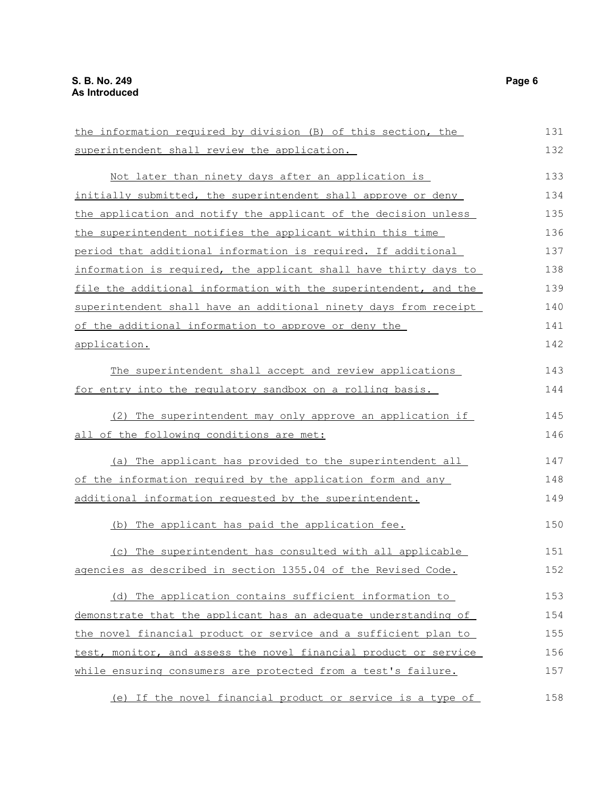the information required by division (B) of this section, the superintendent shall review the application. Not later than ninety days after an application is initially submitted, the superintendent shall approve or deny the application and notify the applicant of the decision unless the superintendent notifies the applicant within this time period that additional information is required. If additional information is required, the applicant shall have thirty days to file the additional information with the superintendent, and the superintendent shall have an additional ninety days from receipt of the additional information to approve or deny the application. The superintendent shall accept and review applications for entry into the regulatory sandbox on a rolling basis. (2) The superintendent may only approve an application if all of the following conditions are met: (a) The applicant has provided to the superintendent all of the information required by the application form and any additional information requested by the superintendent. (b) The applicant has paid the application fee. (c) The superintendent has consulted with all applicable agencies as described in section 1355.04 of the Revised Code. (d) The application contains sufficient information to demonstrate that the applicant has an adequate understanding of the novel financial product or service and a sufficient plan to test, monitor, and assess the novel financial product or service while ensuring consumers are protected from a test's failure. 131 132 133 134 135 136 137 138 139 140 141 142 143 144 145 146 147 148 149 150 151 152 153 154 155 156 157

 (e) If the novel financial product or service is a type of 158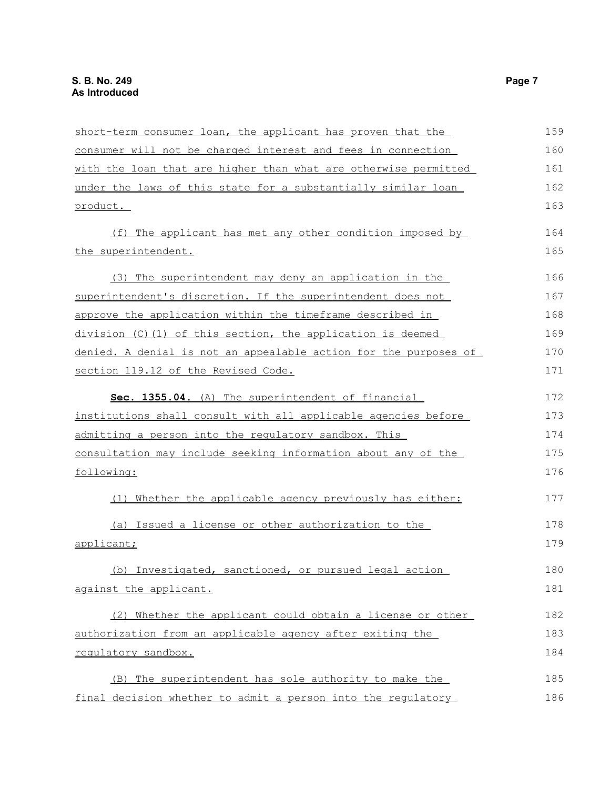| short-term consumer loan, the applicant has proven that the      | 159 |
|------------------------------------------------------------------|-----|
| consumer will not be charged interest and fees in connection     | 160 |
| with the loan that are higher than what are otherwise permitted  | 161 |
| under the laws of this state for a substantially similar loan    | 162 |
| product.                                                         | 163 |
| (f) The applicant has met any other condition imposed by         | 164 |
| the superintendent.                                              | 165 |
| (3) The superintendent may deny an application in the            | 166 |
| superintendent's discretion. If the superintendent does not      | 167 |
| approve the application within the timeframe described in        | 168 |
| division (C)(1) of this section, the application is deemed       | 169 |
| denied. A denial is not an appealable action for the purposes of | 170 |
| section 119.12 of the Revised Code.                              | 171 |
| Sec. 1355.04. (A) The superintendent of financial                | 172 |
| institutions shall consult with all applicable agencies before   | 173 |
| admitting a person into the regulatory sandbox. This             | 174 |
| consultation may include seeking information about any of the    | 175 |
| following:                                                       | 176 |
| (1) Whether the applicable agency previously has either:         | 177 |
| (a) Issued a license or other authorization to the               | 178 |
| applicant;                                                       | 179 |
| (b) Investigated, sanctioned, or pursued legal action            | 180 |
| against the applicant.                                           | 181 |
| (2) Whether the applicant could obtain a license or other        | 182 |
| authorization from an applicable agency after exiting the        | 183 |
| requlatory sandbox.                                              | 184 |
| (B) The superintendent has sole authority to make the            | 185 |
| final decision whether to admit a person into the regulatory     | 186 |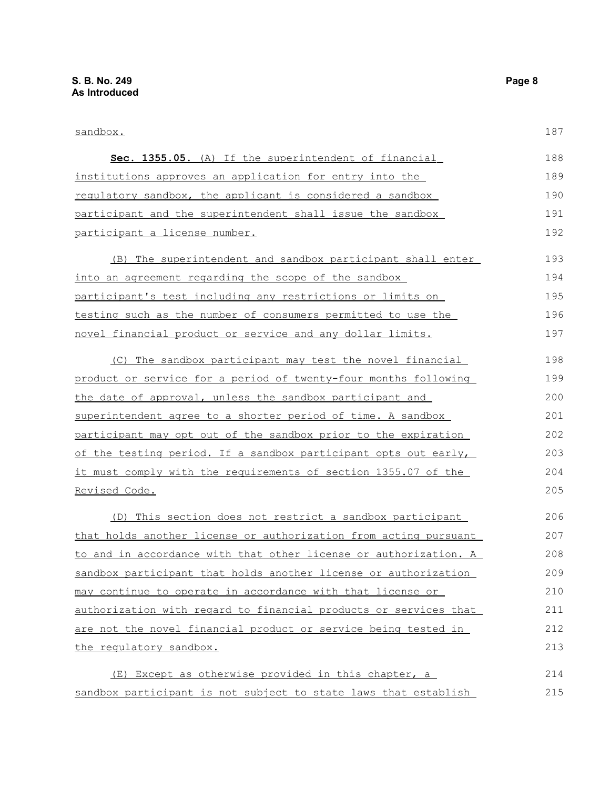| sandbox.                                                         | 187 |
|------------------------------------------------------------------|-----|
| Sec. 1355.05. (A) If the superintendent of financial             | 188 |
| institutions approves an application for entry into the          | 189 |
| requlatory sandbox, the applicant is considered a sandbox        | 190 |
| participant and the superintendent shall issue the sandbox       | 191 |
| <u>participant a license number.</u>                             | 192 |
| The superintendent and sandbox participant shall enter<br>(B)    | 193 |
| into an agreement regarding the scope of the sandbox             | 194 |
| participant's test including any restrictions or limits on       | 195 |
| testing such as the number of consumers permitted to use the     | 196 |
| novel financial product or service and any dollar limits.        | 197 |
| (C) The sandbox participant may test the novel financial         | 198 |
| product or service for a period of twenty-four months following  | 199 |
| the date of approval, unless the sandbox participant and         | 200 |
| superintendent agree to a shorter period of time. A sandbox      | 201 |
| participant may opt out of the sandbox prior to the expiration   | 202 |
| of the testing period. If a sandbox participant opts out early,  | 203 |
| it must comply with the requirements of section 1355.07 of the   | 204 |
| <u>Revised Code.</u>                                             | 205 |
| (D) This section does not restrict a sandbox participant         | 206 |
| that holds another license or authorization from acting pursuant | 207 |
| to and in accordance with that other license or authorization. A | 208 |
| sandbox participant that holds another license or authorization  | 209 |
| may continue to operate in accordance with that license or       | 210 |
| authorization with regard to financial products or services that | 211 |
| are not the novel financial product or service being tested in   | 212 |
| the requlatory sandbox.                                          | 213 |
| (E) Except as otherwise provided in this chapter, a              | 214 |
| sandbox participant is not subject to state laws that establish  | 215 |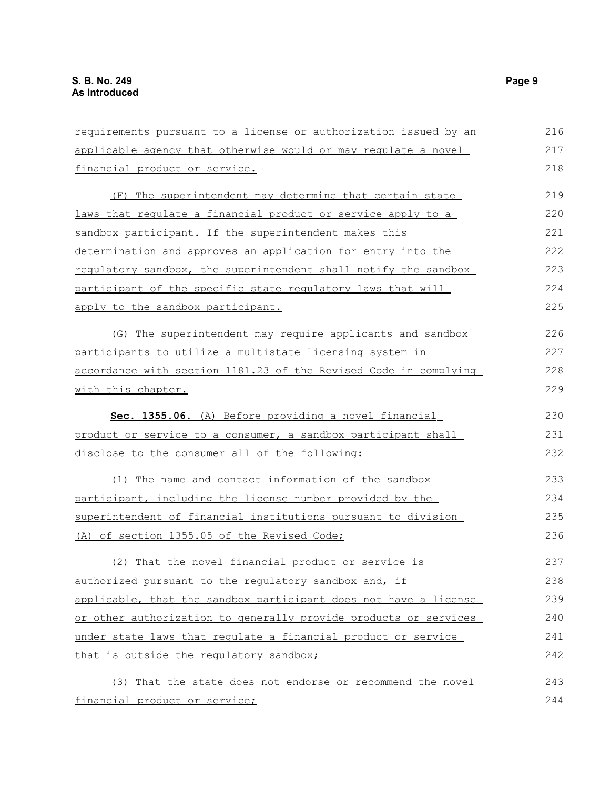| requirements pursuant to a license or authorization issued by an | 216 |
|------------------------------------------------------------------|-----|
| applicable agency that otherwise would or may regulate a novel   | 217 |
| financial product or service.                                    | 218 |
| (F) The superintendent may determine that certain state          | 219 |
| laws that regulate a financial product or service apply to a     | 220 |
| sandbox participant. If the superintendent makes this            | 221 |
| determination and approves an application for entry into the     | 222 |
| regulatory sandbox, the superintendent shall notify the sandbox  | 223 |
| participant of the specific state requlatory laws that will      | 224 |
| apply to the sandbox participant.                                | 225 |
| (G) The superintendent may require applicants and sandbox        | 226 |
| participants to utilize a multistate licensing system in         | 227 |
| accordance with section 1181.23 of the Revised Code in complying | 228 |
| with this chapter.                                               | 229 |
| Sec. 1355.06. (A) Before providing a novel financial             | 230 |
| product or service to a consumer, a sandbox participant shall    | 231 |
| disclose to the consumer all of the following:                   | 232 |
| (1) The name and contact information of the sandbox              | 233 |
| participant, including the license number provided by the        | 234 |
| superintendent of financial institutions pursuant to division    | 235 |
| (A) of section 1355.05 of the Revised Code;                      | 236 |
| (2) That the novel financial product or service is               | 237 |
| authorized pursuant to the regulatory sandbox and, if            | 238 |
| applicable, that the sandbox participant does not have a license | 239 |
| or other authorization to generally provide products or services | 240 |
| under state laws that requlate a financial product or service    | 241 |
| that is outside the regulatory sandbox;                          | 242 |
| (3) That the state does not endorse or recommend the novel       | 243 |
| financial product or service;                                    | 244 |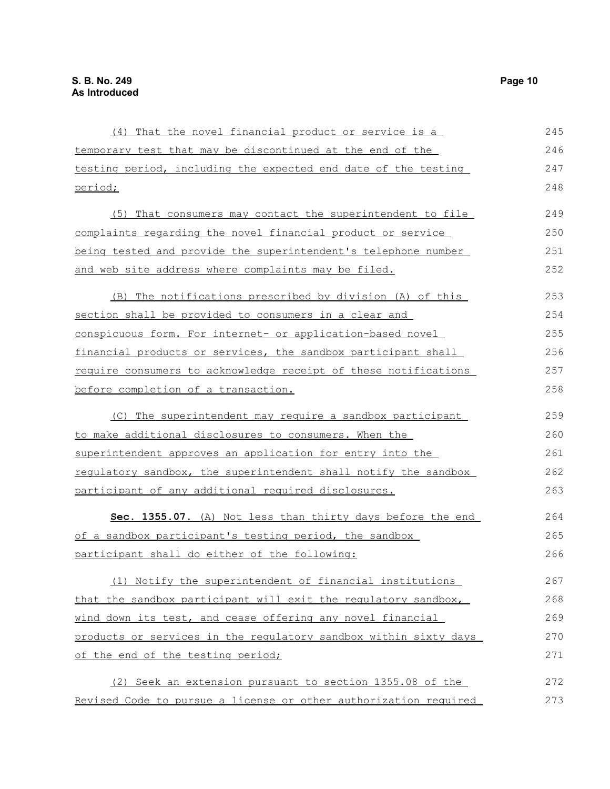| (4) That the novel financial product or service is a             | 245 |
|------------------------------------------------------------------|-----|
| temporary test that may be discontinued at the end of the        | 246 |
| testing period, including the expected end date of the testing   | 247 |
| period;                                                          | 248 |
| (5) That consumers may contact the superintendent to file        | 249 |
| complaints regarding the novel financial product or service      | 250 |
| being tested and provide the superintendent's telephone number   | 251 |
| and web site address where complaints may be filed.              | 252 |
| (B) The notifications prescribed by division (A) of this         | 253 |
| section shall be provided to consumers in a clear and            | 254 |
| conspicuous form. For internet- or application-based novel       | 255 |
| financial products or services, the sandbox participant shall    | 256 |
| require consumers to acknowledge receipt of these notifications  | 257 |
| before completion of a transaction.                              | 258 |
| (C) The superintendent may require a sandbox participant         | 259 |
| to make additional disclosures to consumers. When the            | 260 |
| superintendent approves an application for entry into the        | 261 |
| regulatory sandbox, the superintendent shall notify the sandbox  | 262 |
| participant of any additional required disclosures.              | 263 |
| Sec. 1355.07. (A) Not less than thirty days before the end       | 264 |
| of a sandbox participant's testing period, the sandbox           | 265 |
| participant shall do either of the following:                    | 266 |
| (1) Notify the superintendent of financial institutions          | 267 |
| that the sandbox participant will exit the regulatory sandbox,   | 268 |
| wind down its test, and cease offering any novel financial       | 269 |
| products or services in the regulatory sandbox within sixty days | 270 |
| of the end of the testing period;                                | 271 |
| (2) Seek an extension pursuant to section 1355.08 of the         | 272 |
| Revised Code to pursue a license or other authorization required | 273 |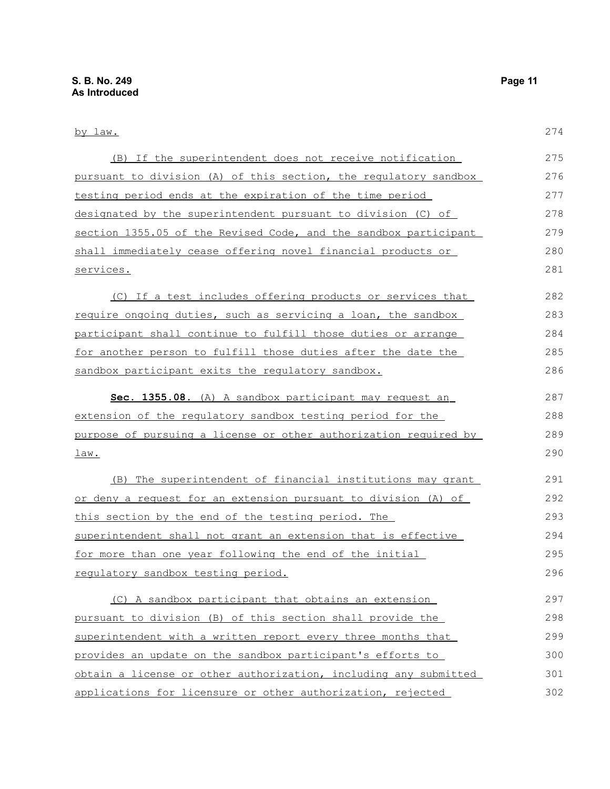| by law.                                                          | 274 |
|------------------------------------------------------------------|-----|
| (B) If the superintendent does not receive notification          | 275 |
| pursuant to division (A) of this section, the regulatory sandbox | 276 |
| testing period ends at the expiration of the time period         | 277 |
| designated by the superintendent pursuant to division (C) of     | 278 |
| section 1355.05 of the Revised Code, and the sandbox participant | 279 |
| shall immediately cease offering novel financial products or     | 280 |
| services.                                                        | 281 |
| (C) If a test includes offering products or services that        | 282 |
| require ongoing duties, such as servicing a loan, the sandbox    | 283 |
| participant shall continue to fulfill those duties or arrange    | 284 |
| for another person to fulfill those duties after the date the    | 285 |
| sandbox participant exits the requlatory sandbox.                | 286 |
| Sec. 1355.08. (A) A sandbox participant may request an           | 287 |
| extension of the regulatory sandbox testing period for the       | 288 |
| purpose of pursuing a license or other authorization required by | 289 |
| <u>law.</u>                                                      | 290 |
| (B) The superintendent of financial institutions may grant       | 291 |
| or deny a request for an extension pursuant to division (A) of   | 292 |
| this section by the end of the testing period. The               | 293 |
| superintendent shall not grant an extension that is effective    | 294 |
| <u>for more than one year following the end of the initial</u>   | 295 |
| regulatory sandbox testing period.                               | 296 |
| (C) A sandbox participant that obtains an extension              | 297 |
| pursuant to division (B) of this section shall provide the       | 298 |
| superintendent with a written report every three months that     | 299 |
| provides an update on the sandbox participant's efforts to       | 300 |
| obtain a license or other authorization, including any submitted | 301 |
| applications for licensure or other authorization, rejected      | 302 |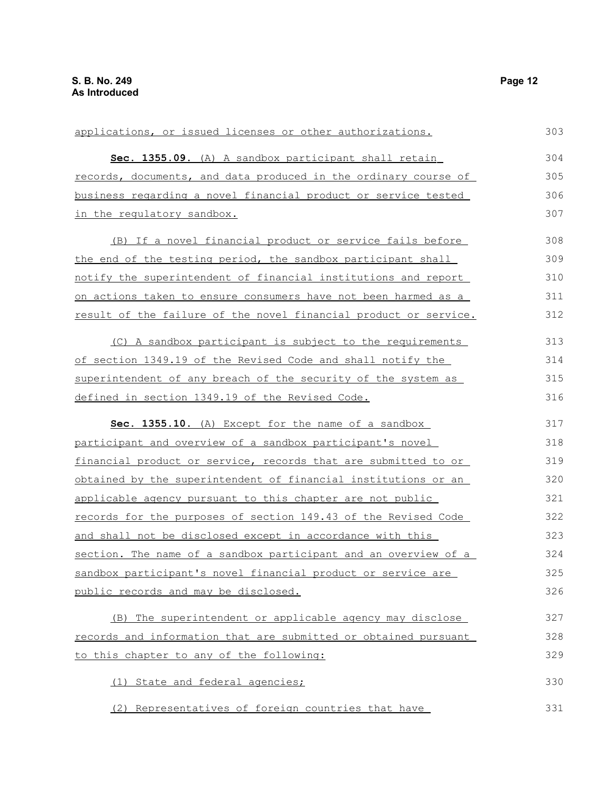| applications, or issued licenses or other authorizations.             | 303 |
|-----------------------------------------------------------------------|-----|
| Sec. 1355.09. (A) A sandbox participant shall retain                  | 304 |
| records, documents, and data produced in the ordinary course of       | 305 |
| business regarding a novel financial product or service tested        | 306 |
| in the regulatory sandbox.                                            | 307 |
| (B) If a novel financial product or service fails before              | 308 |
| the end of the testing period, the sandbox participant shall          | 309 |
| notify the superintendent of financial institutions and report        | 310 |
| <u>on actions taken to ensure consumers have not been harmed as a</u> | 311 |
| result of the failure of the novel financial product or service.      | 312 |
| (C) A sandbox participant is subject to the requirements              | 313 |
| of section 1349.19 of the Revised Code and shall notify the           | 314 |
| superintendent of any breach of the security of the system as         | 315 |
| defined in section 1349.19 of the Revised Code.                       | 316 |
| Sec. 1355.10. (A) Except for the name of a sandbox                    | 317 |
| participant and overview of a sandbox participant's novel             | 318 |
| financial product or service, records that are submitted to or        | 319 |
| obtained by the superintendent of financial institutions or an        | 320 |
| applicable agency pursuant to this chapter are not public             | 321 |
| records for the purposes of section 149.43 of the Revised Code        | 322 |
| and shall not be disclosed except in accordance with this             | 323 |
| section. The name of a sandbox participant and an overview of a       | 324 |
| sandbox participant's novel financial product or service are          | 325 |
| public records and may be disclosed.                                  | 326 |
| (B) The superintendent or applicable agency may disclose              | 327 |
| records and information that are submitted or obtained pursuant       | 328 |
| to this chapter to any of the following:                              | 329 |
| (1) State and federal agencies;                                       | 330 |
| (2) Representatives of foreign countries that have                    | 331 |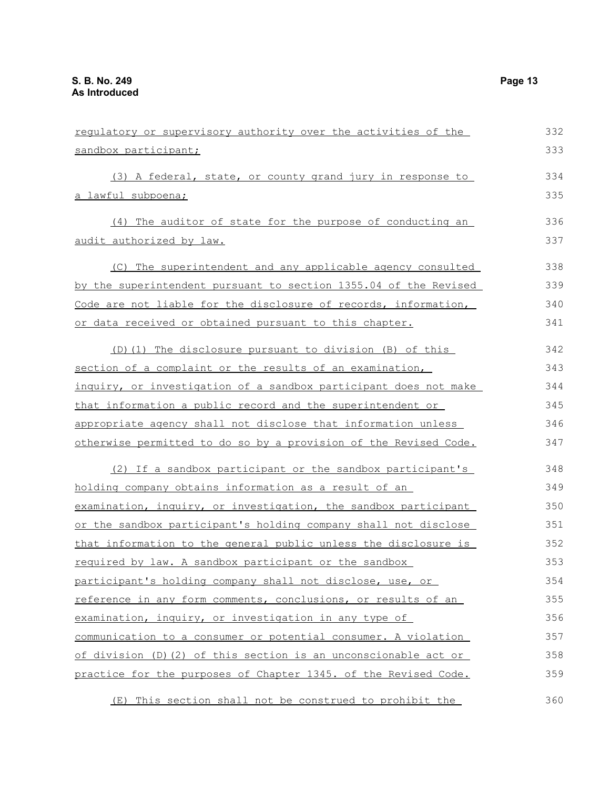| regulatory or supervisory authority over the activities of the   | 332 |
|------------------------------------------------------------------|-----|
| sandbox participant;                                             | 333 |
| (3) A federal, state, or county grand jury in response to        | 334 |
| <u>a lawful subpoena;</u>                                        | 335 |
| (4) The auditor of state for the purpose of conducting an        | 336 |
| audit authorized by law.                                         | 337 |
| (C) The superintendent and any applicable agency consulted       | 338 |
| by the superintendent pursuant to section 1355.04 of the Revised | 339 |
| Code are not liable for the disclosure of records, information,  | 340 |
| or data received or obtained pursuant to this chapter.           | 341 |
| (D) (1) The disclosure pursuant to division (B) of this          | 342 |
| section of a complaint or the results of an examination,         | 343 |
| inquiry, or investigation of a sandbox participant does not make | 344 |
| that information a public record and the superintendent or       | 345 |
| appropriate agency shall not disclose that information unless    | 346 |
| otherwise permitted to do so by a provision of the Revised Code. | 347 |
| (2) If a sandbox participant or the sandbox participant's        | 348 |
| holding company obtains information as a result of an            | 349 |
| examination, inquiry, or investigation, the sandbox participant  | 350 |
| or the sandbox participant's holding company shall not disclose  | 351 |
| that information to the general public unless the disclosure is  | 352 |
| required by law. A sandbox participant or the sandbox            | 353 |
| participant's holding company shall not disclose, use, or        | 354 |
| reference in any form comments, conclusions, or results of an    | 355 |
| examination, inquiry, or investigation in any type of            | 356 |
| communication to a consumer or potential consumer. A violation   | 357 |
| of division (D) (2) of this section is an unconscionable act or  | 358 |
| practice for the purposes of Chapter 1345. of the Revised Code.  | 359 |
| (E) This section shall not be construed to prohibit the          | 360 |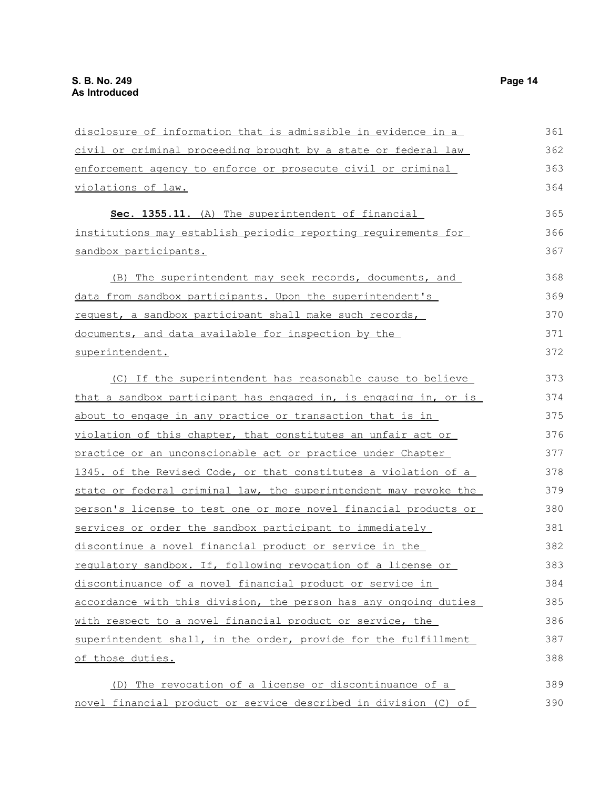| disclosure of information that is admissible in evidence in a    | 361 |
|------------------------------------------------------------------|-----|
| civil or criminal proceeding brought by a state or federal law   | 362 |
| enforcement agency to enforce or prosecute civil or criminal     | 363 |
| violations of law.                                               | 364 |
| Sec. 1355.11. (A) The superintendent of financial                | 365 |
| institutions may establish periodic reporting requirements for   | 366 |
| <u>sandbox participants.</u>                                     | 367 |
| (B) The superintendent may seek records, documents, and          | 368 |
| data from sandbox participants. Upon the superintendent's        | 369 |
| request, a sandbox participant shall make such records,          | 370 |
| documents, and data available for inspection by the              | 371 |
| superintendent.                                                  | 372 |
| (C) If the superintendent has reasonable cause to believe        | 373 |
| that a sandbox participant has engaged in, is engaging in, or is | 374 |
| about to engage in any practice or transaction that is in        | 375 |
| violation of this chapter, that constitutes an unfair act or     | 376 |
| practice or an unconscionable act or practice under Chapter      | 377 |
| 1345. of the Revised Code, or that constitutes a violation of a  | 378 |
| state or federal criminal law, the superintendent may revoke the | 379 |
| person's license to test one or more novel financial products or | 380 |
| services or order the sandbox participant to immediately         | 381 |
| discontinue a novel financial product or service in the          | 382 |
| requlatory sandbox. If, following revocation of a license or     | 383 |
| discontinuance of a novel financial product or service in        | 384 |
| accordance with this division, the person has any ongoing duties | 385 |
| with respect to a novel financial product or service, the        | 386 |
| superintendent shall, in the order, provide for the fulfillment  | 387 |
| of those duties.                                                 | 388 |
| (D) The revocation of a license or discontinuance of a           | 389 |
| novel financial product or service described in division (C) of  | 390 |